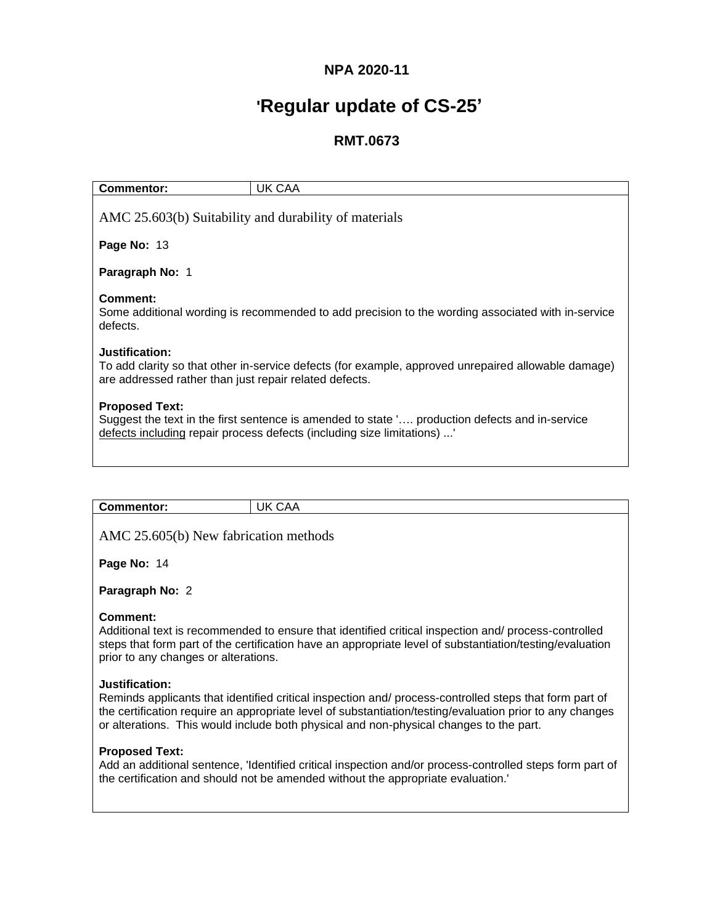# **NPA 2020-11**

# **'Regular update of CS-25'**

## **RMT.0673**

| Commentor:                                                                                                                                                                                        | UK CAA |  |
|---------------------------------------------------------------------------------------------------------------------------------------------------------------------------------------------------|--------|--|
| AMC 25.603(b) Suitability and durability of materials                                                                                                                                             |        |  |
| Page No: 13                                                                                                                                                                                       |        |  |
| Paragraph No: 1                                                                                                                                                                                   |        |  |
| Comment:<br>Some additional wording is recommended to add precision to the wording associated with in-service<br>defects.                                                                         |        |  |
| Justification:<br>To add clarity so that other in-service defects (for example, approved unrepaired allowable damage)<br>are addressed rather than just repair related defects.                   |        |  |
| <b>Proposed Text:</b><br>Suggest the text in the first sentence is amended to state ' production defects and in-service<br>defects including repair process defects (including size limitations)' |        |  |

| <b>Commentor:</b>                     | UK CAA |  |  |
|---------------------------------------|--------|--|--|
| AMC 25.605(b) New fabrication methods |        |  |  |

**Page No:** 14

**Paragraph No:** 2

#### **Comment:**

Additional text is recommended to ensure that identified critical inspection and/ process-controlled steps that form part of the certification have an appropriate level of substantiation/testing/evaluation prior to any changes or alterations.

#### **Justification:**

Reminds applicants that identified critical inspection and/ process-controlled steps that form part of the certification require an appropriate level of substantiation/testing/evaluation prior to any changes or alterations. This would include both physical and non-physical changes to the part.

#### **Proposed Text:**

Add an additional sentence, 'Identified critical inspection and/or process-controlled steps form part of the certification and should not be amended without the appropriate evaluation.'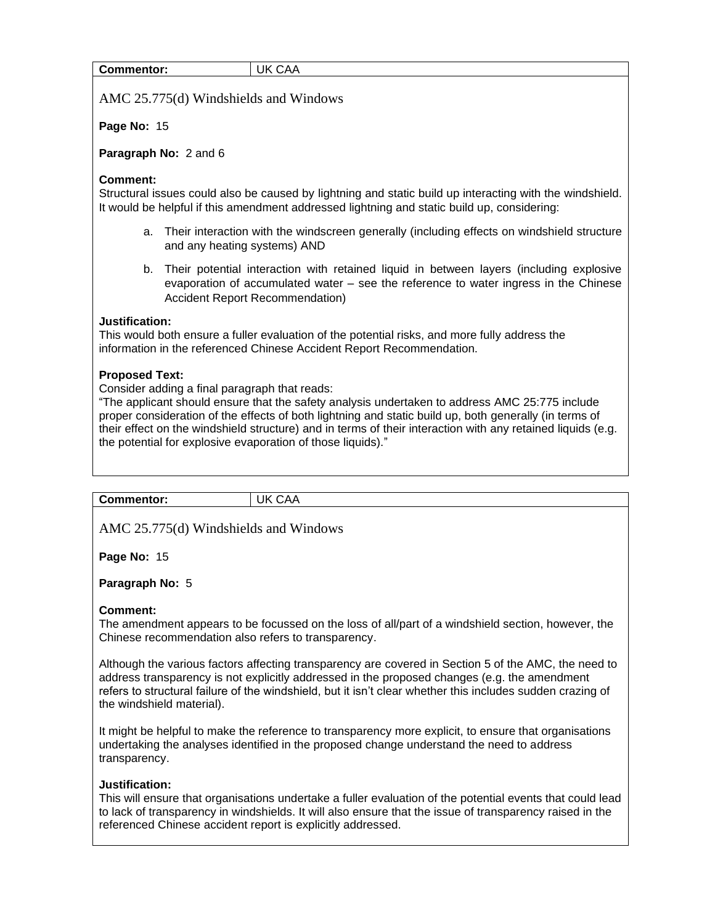| Commentor: | UK CAA |
|------------|--------|
|------------|--------|

AMC 25.775(d) Windshields and Windows

**Page No:** 15

#### **Paragraph No:** 2 and 6

#### **Comment:**

Structural issues could also be caused by lightning and static build up interacting with the windshield. It would be helpful if this amendment addressed lightning and static build up, considering:

- a. Their interaction with the windscreen generally (including effects on windshield structure and any heating systems) AND
- b. Their potential interaction with retained liquid in between layers (including explosive evaporation of accumulated water – see the reference to water ingress in the Chinese Accident Report Recommendation)

#### **Justification:**

This would both ensure a fuller evaluation of the potential risks, and more fully address the information in the referenced Chinese Accident Report Recommendation.

#### **Proposed Text:**

Consider adding a final paragraph that reads:

"The applicant should ensure that the safety analysis undertaken to address AMC 25:775 include proper consideration of the effects of both lightning and static build up, both generally (in terms of their effect on the windshield structure) and in terms of their interaction with any retained liquids (e.g. the potential for explosive evaporation of those liquids)."

| --<br>.<br>uentor. | ΙK<br>$\Lambda$<br>.<br>v |
|--------------------|---------------------------|
|                    |                           |

AMC 25.775(d) Windshields and Windows

**Page No:** 15

#### **Paragraph No:** 5

#### **Comment:**

The amendment appears to be focussed on the loss of all/part of a windshield section, however, the Chinese recommendation also refers to transparency.

Although the various factors affecting transparency are covered in Section 5 of the AMC, the need to address transparency is not explicitly addressed in the proposed changes (e.g. the amendment refers to structural failure of the windshield, but it isn't clear whether this includes sudden crazing of the windshield material).

It might be helpful to make the reference to transparency more explicit, to ensure that organisations undertaking the analyses identified in the proposed change understand the need to address transparency.

#### **Justification:**

This will ensure that organisations undertake a fuller evaluation of the potential events that could lead to lack of transparency in windshields. It will also ensure that the issue of transparency raised in the referenced Chinese accident report is explicitly addressed.